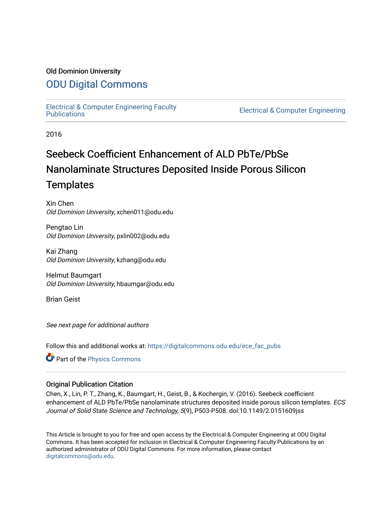## Old Dominion University

# [ODU Digital Commons](https://digitalcommons.odu.edu/)

[Electrical & Computer Engineering Faculty](https://digitalcommons.odu.edu/ece_fac_pubs) 

**Electrical & Computer Engineering** 

2016

# Seebeck Coefficient Enhancement of ALD PbTe/PbSe Nanolaminate Structures Deposited Inside Porous Silicon **Templates**

Xin Chen Old Dominion University, xchen011@odu.edu

Pengtao Lin Old Dominion University, pxlin002@odu.edu

Kai Zhang Old Dominion University, kzhang@odu.edu

Helmut Baumgart Old Dominion University, hbaumgar@odu.edu

Brian Geist

See next page for additional authors

Follow this and additional works at: [https://digitalcommons.odu.edu/ece\\_fac\\_pubs](https://digitalcommons.odu.edu/ece_fac_pubs?utm_source=digitalcommons.odu.edu%2Fece_fac_pubs%2F145&utm_medium=PDF&utm_campaign=PDFCoverPages) 

Part of the [Physics Commons](http://network.bepress.com/hgg/discipline/193?utm_source=digitalcommons.odu.edu%2Fece_fac_pubs%2F145&utm_medium=PDF&utm_campaign=PDFCoverPages)

### Original Publication Citation

Chen, X., Lin, P. T., Zhang, K., Baumgart, H., Geist, B., & Kochergin, V. (2016). Seebeck coefficient enhancement of ALD PbTe/PbSe nanolaminate structures deposited inside porous silicon templates. ECS Journal of Solid State Science and Technology, 5(9), P503-P508. doi:10.1149/2.0151609jss

This Article is brought to you for free and open access by the Electrical & Computer Engineering at ODU Digital Commons. It has been accepted for inclusion in Electrical & Computer Engineering Faculty Publications by an authorized administrator of ODU Digital Commons. For more information, please contact [digitalcommons@odu.edu](mailto:digitalcommons@odu.edu).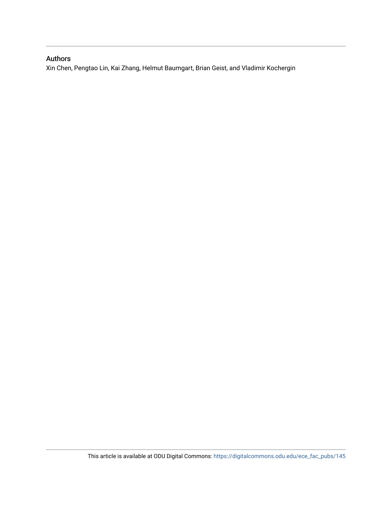## Authors

Xin Chen, Pengtao Lin, Kai Zhang, Helmut Baumgart, Brian Geist, and Vladimir Kochergin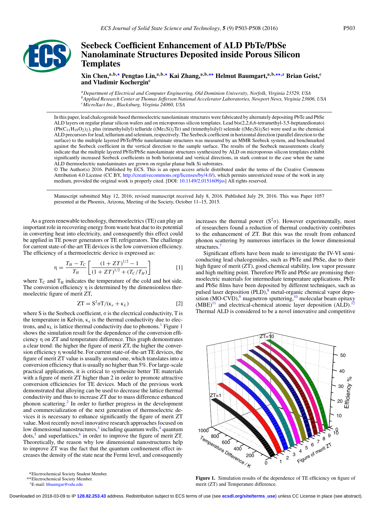

## **Seebeck Coefficient Enhancement of ALD PbTe/PbSe Nanolaminate Structures Deposited inside Porous Silicon Templates**

**Xin Chen,a,b,[∗](#page-2-0) Pengtao Lin,a,b,[∗](#page-2-0) Kai Zhang,a,b,[∗∗](#page-2-1) Helmut Baumgart,a,b,[∗∗](#page-2-1)[,z](#page-2-2) Brian Geist,c** and Vladimir Kochergin<sup>c</sup>

*aDepartment of Electrical and Computer Engineering, Old Dominion University, Norfolk, Virginia 23529, USA bApplied Research Center at Thomas Jefferson National Accelerator Laboratories, Newport News, Virginia 23606, USA cMicroXact Inc., Blacksburg, Virginia 24060, USA*

In this paper, lead chalcogenide based thermoelectric nanolaminate structures were fabricated by alternately depositing PbTe and PbSe ALD layers on regular planar silicon wafers and on microporous silicon templates. Lead bis(2,2,6,6-tetramethyl-3,5-heptanedionato)  $(Pb(C_{11}H_{19}O_2)_2)$ , plus (trimethylsilyl) telluride ((Me<sub>3</sub>Si)<sub>2</sub>Te) and (trimethylsilyl) selenide ((Me<sub>3</sub>Si)<sub>2</sub>Se) were used as the chemical ALD precursors for lead, tellurium and selenium, respectively. The Seebeck coefficient in horizontal direction (parallel direction to the surface) to the multiple layered PbTe/PbSe nanolaminate structures was measured by an MMR Seebeck system, and benchmarked against the Seebeck coefficient in the vertical direction to the sample surface. The results of the Seebeck measurements clearly indicate that the multiple layered PbTe/PbSe nanolaminate structures synthesized by ALD on microporous silicon templates exhibit significantly increased Seebeck coefficients in both horizontal and vertical directions, in stark contrast to the case when the same ALD thermoelectric nanolaminates are grown on regular planar bulk Si substrates.

© The Author(s) 2016. Published by ECS. This is an open access article distributed under the terms of the Creative Commons Attribution 4.0 License (CC BY, [http://creativecommons.org/licenses/by/4.0/\)](http://creativecommons.org/licenses/by/4.0/), which permits unrestricted reuse of the work in any medium, provided the original work is properly cited. [DOI: [10.1149/2.0151609jss\]](http://dx.doi.org/10.1149/2.0151609jss) All rights reserved.

Manuscript submitted May 12, 2016; revised manuscript received July 8, 2016. Published July 29, 2016. This was Paper 1057 presented at the Phoenix, Arizona, Meeting of the Society, October 11–15, 2015.

As a green renewable technology, thermoelectrics (TE) can play an important role in recovering energy from waste heat due to its potential in converting heat into electricity, and consequently this effect could be applied in TE power generators or TE refrigerators. The challenge for current state-of-the-art TE devices is the low conversion efficiency. The efficiency of a thermoelectric device is expressed as:

$$
\eta = \frac{T_H - T_C}{T_H} \left[ \frac{(1 + ZT)^{1/2} - 1}{(1 + ZT)^{1/2} + (T_C/T_H)} \right]
$$
 [1]

where  $T_c$  and  $T_H$  indicates the temperature of the cold and hot side. The conversion efficiency  $\eta$  is determined by the dimensionless thermoelectric figure of merit ZT,

$$
ZT = S^2 \sigma T / (\kappa_e + \kappa_L)
$$
 [2]

where S is the Seebeck coefficient,  $\sigma$  is the electrical conductivity, T is the temperature in Kelvin,  $\kappa_e$  is the thermal conductivity due to electrons, and  $\kappa_L$  is lattice thermal conductivity due to phonons.<sup>[1](#page-2-3)</sup> Figure 1 shows the simulation result for the dependence of the conversion efficiency η on ZT and temperature difference. This graph demonstrates a clear trend: the higher the figure of merit ZT, the higher the conversion efficiency η would be. For current state-of-the-art TE devices, the figure of merit ZT value is usually around one, which translates into a conversion efficiency that is usually no higher than 5%. For large-scale practical applications, it is critical to synthesize better TE materials with a figure of merit ZT higher than 2 in order to promote attractive conversion efficiencies for TE devices. Much of the previous work demonstrated that alloying can be used to decrease the lattice thermal conductivity and thus to increase ZT due to mass difference enhanced phonon scattering.[2](#page-7-1) In order to further progress in the development and commercialization of the next generation of thermoelectric devices it is necessary to enhance significantly the figure of merit ZT value. Most recently novel innovative research approaches focused on low dimensional nanostructures, $3$  including quantum wells, $4$  quantum  $\diamond$  dots,<sup>5</sup> and superlattices,<sup>[6](#page-7-5)</sup> in order to improve the figure of merit ZT. Theoretically, the reason why low dimensional nanostructures help to improve ZT was the fact that the quantum confinement effect increases the density of the state near the Fermi level, and consequently

<span id="page-2-2"></span>zE-mail: [hbaumgar@odu.edu](mailto:hbaumgar@odu.edu)

increases the thermal power ( $S^2\sigma$ ). However experimentally, most of researchers found a reduction of thermal conductivity contributes to the enhancement of ZT. But this was the result from enhanced phonon scattering by numerous interfaces in the lower dimensional structures[.7](#page-7-6)

Significant efforts have been made to investigate the IV-VI semiconducting lead chalcogenides, such as PbTe and PbSe, due to their high figure of merit (ZT), good chemical stability, low vapor pressure and high melting point. Therefore PbTe and PbSe are promising thermoelectric materials for intermediate temperature applications. PbTe and PbSe films have been deposited by different techniques, such as pulsed laser deposition (PLD),<sup>8</sup> metal-organic chemical vapor deposition  $(MO-CVD)$ ,<sup>9</sup> magnetron sputtering,<sup>10</sup> molecular beam epitaxy  $(MBE)^{11}$  $(MBE)^{11}$  $(MBE)^{11}$  and electrical-chemical atomic layer deposition  $(ALD)^{12}$ . Thermal ALD is considered to be a novel innovative and competitive

<span id="page-2-3"></span>

Figure 1. Simulation results of the dependence of TE efficiency on figure of merit (ZT) and Temperature difference.

Downloaded on 2018-03-09 to IP **128.82.253.43** address. Redistribution subject to ECS terms of use (see **[ecsdl.org/site/terms\\_use](http://ecsdl.org/site/terms_use)**) unless CC License in place (see abstract).

<span id="page-2-0"></span><sup>∗</sup>Electrochemical Society Student Member.

<span id="page-2-1"></span><sup>∗∗</sup>Electrochemical Society Member.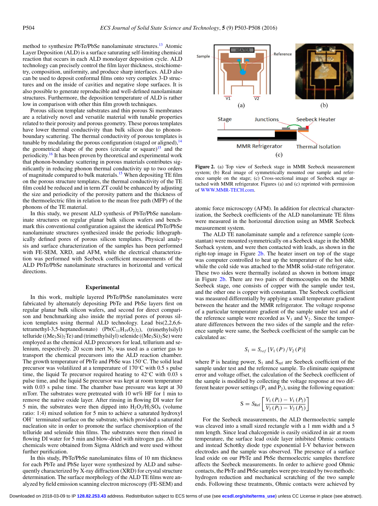method to synthesize PbTe/PbSe nanolaminate structures.<sup>13</sup> Atomic Layer Deposition (ALD) is a surface saturating self-limiting chemical reaction that occurs in each ALD monolayer deposition cycle. ALD technology can precisely control the film layer thickness, stoichiometry, composition, uniformity, and produce sharp interfaces. ALD also can be used to deposit conformal films onto very complex 3-D structures and on the inside of cavities and negative slope surfaces. It is also possible to generate reproducible and well-defined nanolaminate structures. Furthermore, the deposition temperature of ALD is rather low in comparison with other thin film growth techniques.

Porous silicon template substrates and thin porous Si membranes are a relatively novel and versatile material with tunable properties related to their porosity and porous geometry. These porous templates have lower thermal conductivity than bulk silicon due to phononboundary scattering. The thermal conductivity of porous templates is tunable by modulating the porous configuration (staged or aligned), $^{14}$  $^{14}$  $^{14}$ the geometrical shape of the pores (circular or square)<sup>15</sup> and the periodicity.<sup>[16](#page-7-15)</sup> It has been proven by theoretical and experimental work that phonon-boundary scattering in porous materials contributes significantly in reducing phonon thermal conductivity up to two orders of magnitude compared to bulk materials.<sup>15</sup> When depositing TE film on the porous structure templates, the thermal conductivity of the TE film could be reduced and in term ZT could be enhanced by adjusting the size and periodicity of the porosity pattern and the thickness of the thermoelectric film in relation to the mean free path (MFP) of the phonons of the TE material.

In this study, we present ALD synthesis of PbTe/PbSe nanolaminate structures on regular planar bulk silicon wafers and benchmark this conventional configuration against the identical PbTe/PbSe nanolaminate structures synthesized inside the periodic lithographically defined pores of porous silicon templates. Physical analysis and surface characterization of the samples has been performed with FE-SEM, XRD, and AFM, while the electrical characterization was performed with Seebeck coefficient measurements of the ALD PbTe/PbSe nanolaminate structures in horizontal and vertical directions.

#### **Experimental**

In this work, multiple layered PbTe/PbSe nanolaminates were fabricated by alternately depositing PbTe and PbSe layers first on regular planar bulk silicon wafers, and second for direct comparison and benchmarking also inside the myriad pores of porous silicon templates using thermal ALD technology. Lead bis(2,2,6,6 tetramethyl-3,5-heptanedionato) (Pb( $C_{11}H_{19}O_{2}$ )<sub>2</sub>), (trimethylsilyl) telluride ( $(Me<sub>3</sub>Si)<sub>2</sub>Te$ ) and (trimethylsilyl) selenide ( $(Me<sub>3</sub>Si)<sub>2</sub>Se$ ) were employed as the chemical ALD precursors for lead, tellurium and selenium, respectively. 20 sccm inert  $N_2$  was used as a carrier gas to transport the chemical precursors into the ALD reaction chamber. The growth temperature of PbTe and PbSe was 150◦C. The solid lead precursor was volatilized at a temperature of 170◦C with 0.5 s pulse time, the liquid Te precursor required heating to  $42^{\circ}$ C with 0.03 s pulse time, and the liquid Se precursor was kept at room temperature with 0.03 s pulse time. The chamber base pressure was kept at 30 mTorr. The substrates were pretreated with 10 wt% HF for 1 min to remove the native oxide layer. After rinsing in flowing DI water for 5 min, the substrates were then dipped into  $H_2O_2/H_2SO_4$  (volume ratio: 1:4) mixed solution for 5 min to achieve a saturated hydroxyl OH<sup>−</sup> terminated surface on the substrate, which provided a saturated nucleation site in order to promote the surface chemisorption of the telluride and selenide thin films. The substrates were then rinsed in flowing DI water for 5 min and blow-dried with nitrogen gas. All the chemicals were obtained from Sigma Aldrich and were used without further purification.

In this study, PbTe/PbSe nanolaminates films of 10 nm thickness for each PbTe and PbSe layer were synthesized by ALD and subsequently characterized by X-ray diffraction (XRD) for crystal structure determination. The surface morphology of the ALD TE films were analyzed by field emission scanning electron microscopy (FE-SEM) and

<span id="page-3-0"></span>

**Figure 2.** (a) Top view of Seebeck stage in MMR Seebeck measurement system; (b) Real image of symmetrically mounted our sample and reference sample on the stage; (c) Cross-sectional image of Seebeck stage attached with MMR refrigerator. Figures (a) and (c) reprinted with permission of [WWW.MMR-TECH.com.](http://WWW.MMR-TECH.com)

atomic force microscopy (AFM). In addition for electrical characterization, the Seebeck coefficients of the ALD nanolaminate TE films were measured in the horizontal direction using an MMR Seebeck measurement system.

The ALD TE nanolaminate sample and a reference sample (constantan) were mounted symmetrically on a Seebeck stage in the MMR Seeback system, and were then contacted with leads, as shown in the right-top image in Figure [2b.](#page-3-0) The heater insert on top of the stage was computer controlled to heat up the temperature of the hot side, while the cold side was attached to the MMR solid-state refrigerator. These two sides were thermally isolated as shown in bottom image in Figure [2b.](#page-3-0) There are two pairs of thermocouples on the MMR Seebeck stage, one consists of copper with the sample under test, and the other one is copper with constantan. The Seebeck coefficient was measured differentially by applying a small temperature gradient between the heater and the MMR refrigerator. The voltage response of a particular temperature gradient of the sample under test and of the reference sample were recorded as  $V_1$  and  $V_2$ . Since the temperature differences between the two sides of the sample and the reference sample were same, the Seebeck coefficient of the sample can be calculated as:

$$
S_1 = S_{ref} [V_1(P)/V_2(P)]
$$

where P is heating power,  $S_1$  and  $S_{ref}$  are Seebeck coefficient of the sample under test and the reference sample. To eliminate equipment error and voltage offset, the calculation of the Seebeck coefficient of the sample is modified by collecting the voltage response at two different heater power settings ( $P_1$  and  $P_2$ ), using the following equation:

$$
S = S_{Ref} \left[ \frac{V_1 (P_1) - V_1 (P_2)}{V_2 (P_1) - V_2 (P_2)} \right]
$$

For the Seebeck measurements, the ALD thermoelectric sample was cleaved into a small sized rectangle with a 1 mm width and a 5 mm length. Since lead chalcogenide is easily oxidized in air at room temperature, the surface lead oxide layer inhibited Ohmic contacts and instead Schottky diode type exponential I-V behavior between electrodes and the sample was observed. The presence of a surface lead oxide on our PbTe and PbSe thermoelectric samples therefore affects the Seebeck measurements. In order to achieve good Ohmic contacts, the PbTe and PbSe samples were pre-treated by two methods: hydrogen reduction and mechanical scratching of the two sample ends. Following these treatments, Ohmic contacts were achieved by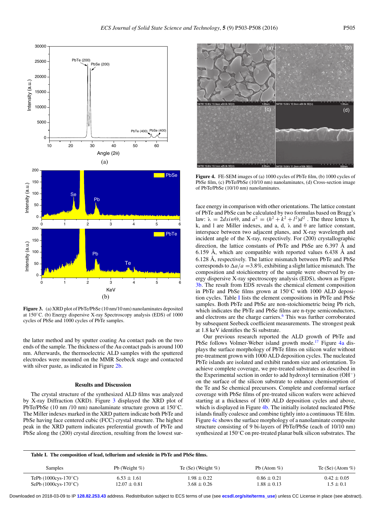<span id="page-4-0"></span>

**Figure 3.** (a) XRD plot of PbTe/PbSe (10 nm/10 nm) nanolaminates deposited at 150◦C. (b) Energy dispersive X-ray Spectroscopy analysis (EDS) of 1000 cycles of PbSe and 1000 cycles of PbTe samples.

the latter method and by sputter coating Au contact pads on the two ends of the sample. The thickness of the Au contact pads is around 100 nm. Afterwards, the thermoelectric ALD samples with the sputtered electrodes were mounted on the MMR Seebeck stage and contacted with silver paste, as indicated in Figure [2b.](#page-3-0)

#### **Results and Discussion**

The crystal structure of the synthesized ALD films was analyzed by X-ray Diffraction (XRD). Figure [3](#page-4-0) displayed the XRD plot of PbTe/PbSe (10 nm /10 nm) nanolaminate structure grown at 150◦C. The Miller indexes marked in the XRD pattern indicate both PbTe and PbSe having face centered cubic (FCC) crystal structure. The highest peak in the XRD pattern indicates preferential growth of PbTe and PbSe along the (200) crystal direction, resulting from the lowest sur-

<span id="page-4-2"></span>

**Figure 4.** FE-SEM images of (a) 1000 cycles of PbTe film, (b) 1000 cycles of PbSe film, (c) PbTe/PbSe (10/10 nm) nanolaminates, (d) Cross-section image of PbTe/PbSe (10/10 nm) nanolaminates.

face energy in comparison with other orientations. The lattice constant of PbTe and PbSe can be calculated by two formulas based on Bragg's law:  $\lambda = 2d\sin\Theta$ , and  $a^2 = (h^2 + k^2 + l^2)d^2$ . The three letters h, k, and l are Miller indexes, and a, d,  $\lambda$  and  $\theta$  are lattice constant, interspace between two adjacent planes, and X-ray wavelength and incident angle of the X-ray, respectively. For (200) crystallographic direction, the lattice constants of PbTe and PbSe are 6.397 Å and 6.159 Å, which are compatible with reported values 6.438 Å and 6.128 Å, respectively. The lattice mismatch between PbTe and PbSe corresponds to  $\Delta a/a = 3.8\%$ , exhibiting a slight lattice mismatch. The composition and stoichiometry of the sample were observed by energy dispersive X-ray spectroscopy analysis (EDS), shown as Figure [3b.](#page-4-0) The result from EDS reveals the chemical element composition in PbTe and PbSe films grown at 150◦C with 1000 ALD deposition cycles. Table [I](#page-4-1) lists the element compositions in PbTe and PbSe samples. Both PbTe and PbSe are non-stoichiometric being Pb rich, which indicates the PbTe and PbSe films are n-type semiconductors, and electrons are the charge carriers.<sup>6</sup> This was further corroborated by subsequent Seebeck coefficient measurements. The strongest peak at 1.8 keV identifies the Si substrate.

Our previous research reported the ALD growth of PbTe and PbSe follows Volmer-Weber island growth mode.<sup>17</sup> Figure [4a](#page-4-2) displays the surface morphology of PbTe films on silicon wafer without pre-treatment grown with 1000 ALD deposition cycles. The nucleated PbTe islands are isolated and exhibit random size and orientation. To achieve complete coverage, we pre-treated substrates as described in the Experimental section in order to add hydroxyl termination (OH−) on the surface of the silicon substrate to enhance chemisorption of the Te and Se chemical precursors. Complete and conformal surface coverage with PbSe films of pre-treated silicon wafers were achieved starting at a thickness of 1000 ALD deposition cycles and above, which is displayed in Figure [4b.](#page-4-2) The initially isolated nucleated PbSe islands finally coalesce and combine tightly into a continuous TE film. Figure [4c](#page-4-2) shows the surface morphology of a nanolaminate composite structure consisting of 9 bi-layers of PbTe/PbSe (each of 10/10 nm) synthesized at 150◦C on pre-treated planar bulk silicon substrates. The

<span id="page-4-1"></span>

| Table I. The composition of lead, tellurium and selenide in PbTe and PbSe films. |                                     |                                    |                                    |                                  |
|----------------------------------------------------------------------------------|-------------------------------------|------------------------------------|------------------------------------|----------------------------------|
| <b>Samples</b>                                                                   | Pb (Weight $\%$ )                   | Te (Se) (Weight $%$ )              | Pb (Atom $%$ )                     | Te (Se) (Atom $%$ )              |
| TePb $(1000cys-170°C)$<br>SePb $(1000cys-170°C)$                                 | $6.53 \pm 1.61$<br>$12.07 \pm 0.81$ | $1.98 \pm 0.22$<br>$3.68 \pm 0.26$ | $0.86 \pm 0.21$<br>$1.88 \pm 0.13$ | $0.42 \pm 0.05$<br>$1.5 \pm 0.1$ |

Downloaded on 2018-03-09 to IP **128.82.253.43** address. Redistribution subject to ECS terms of use (see **[ecsdl.org/site/terms\\_use](http://ecsdl.org/site/terms_use)**) unless CC License in place (see abstract).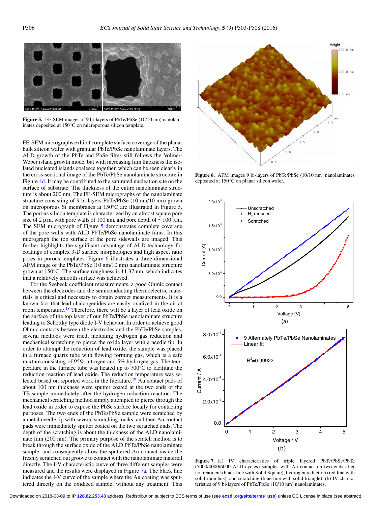<span id="page-5-0"></span>

**Figure 5.** FE-SEM images of 9 bi-layers of PbTe/PbSe (10/10 nm) nanolaminates deposited at 150◦C on microporous silicon template.

FE-SEM micrographs exhibit complete surface coverage of the planar bulk silicon wafer with granular PbTe/PbSe nanolaminate layers. The ALD growth of the PbTe and PbSe films still follows the Volmer-Weber island growth mode, but with increasing film thickness the isolated nucleated islands coalesce together, which can be seen clearly in the cross-sectional image of the PbTe/PbSe nanolaminate structure in Figure [4d.](#page-4-2) It may be contributed to the saturated nucleation site on the surface of substrate. The thickness of the entire nanolaminate structure is about 200 nm. The FE-SEM micrographs of the nanolaminate structure consisting of 9 bi-layers PbTe/PbSe (10 nm/10 nm) grown on microporous Si membranes at 150◦C are illustrated in Figure [5.](#page-5-0) The porous silicon template is characterized by an almost square pore size of 2  $\mu$ m, with pore walls of 100 nm, and pore depth of ~100  $\mu$ m. The SEM micrograph of Figure [5](#page-5-0) demonstrates complete coverage of the pore walls with ALD PbTe/PbSe nanolaminate films. In this micrograph the top surface of the pore sidewalls are imaged. This further highlights the significant advantage of ALD technology for coatings of complex 3-D surface morphologies and high aspect ratio pores in porous templates. Figure [6](#page-5-1) illustrates a three-dimensional AFM image of the PbTe/PbSe (10 nm/10 nm) nanolaminate structure grown at 150◦C. The surface roughness is 11.37 nm, which indicates that a relatively smooth surface was achieved.

For the Seebeck coefficient measurements, a good Ohmic contact between the electrodes and the semiconducting thermoelectric materials is critical and necessary to obtain correct measurements. It is a known fact that lead chalcogenides are easily oxidized in the air at room temperature.<sup>[18](#page-7-17)</sup> Therefore, there will be a layer of lead oxide on the surface of the top layer of our PbTe/PbSe nanolaminate structure leading to Schottky type diode I-V behavior. In order to achieve good Ohmic contacts between the electrodes and the PbTe/PbSe samples, several methods were tried, including hydrogen gas reduction and mechanical scratching to pierce the oxide layer with a needle tip. In order to attempt the reduction of lead oxide, the sample was placed in a furnace quartz tube with flowing forming gas, which is a safe mixture consisting of 95% nitrogen and 5% hydrogen gas. The temperature in the furnace tube was heated up to 700◦C to facilitate the reduction reaction of lead oxide. The reduction temperature was se-lected based on reported work in the literature.<sup>[19](#page-7-18)</sup> Au contact pads of about 100 nm thickness were sputter coated at the two ends of the TE sample immediately after the hydrogen reduction reaction. The mechanical scratching method simply attempted to pierce through the lead oxide in order to expose the PbSe surface locally for contacting purposes. The two ends of the PbTe/PbSe sample were scratched by a metal needle tip with several scratching tracks, and then Au contact pads were immediately sputter coated on the two scratched ends. The depth of the scratching is about the thickness of the ALD nanolaminate film (200 nm). The primary purpose of the scratch method is to break through the surface oxide of the ALD PbTe/PbSe nanolaminate sample, and consequently allow the sputtered Au contact inside the freshly scratched out groove to contact with the nanolaminate material directly. The I-V characteristic curve of three different samples were measured and the results were displayed in Figure [7a.](#page-5-2) The black line indicates the I-V curve of the sample where the Au coating was sputtered directly on the oxidized sample, without any treatment. This

<span id="page-5-1"></span>

**Figure 6.** AFM images 9 bi-layers of PbTe/PbSe (10/10 nm) nanolaminates deposited at 150◦C on planar silicon wafer.

<span id="page-5-2"></span>

**Figure 7.** (a) IV characteristics of triple layered PbTe/PbSe/PbTe (5000/4000/6000 ALD cycles) samples with Au contact on two ends after no treatment (black line with Solid Square), hydrogen reduction (red line with solid rhombus), and scratching (blue line with solid triangle). (b) IV characteristics of 9 bi-layers of PbTe/PbSe (10/10 nm) nanolaminates.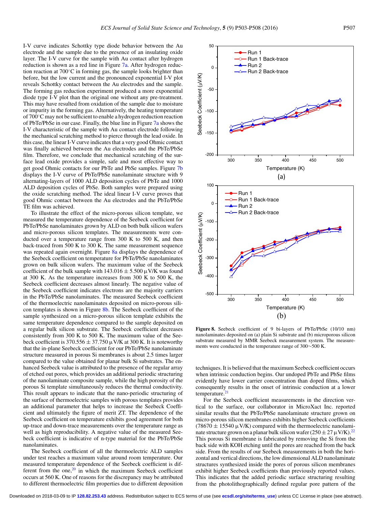I-V curve indicates Schottky type diode behavior between the Au electrode and the sample due to the presence of an insulating oxide layer. The I-V curve for the sample with Au contact after hydrogen reduction is shown as a red line in Figure [7a.](#page-5-2) After hydrogen reduction reaction at 700◦C in forming gas, the sample looks brighter than before, but the low current and the pronounced exponential I-V plot reveals Schottky contact between the Au electrodes and the sample. The forming gas reduction experiment produced a more exponential diode type I-V plot than the original one without any pre-treatment. This may have resulted from oxidation of the sample due to moisture or impurity in the forming gas. Alternatively, the heating temperature of 700◦C may not be sufficient to enable a hydrogen reduction reaction of PbTe/PbSe in our case. Finally, the blue line in Figure [7a](#page-5-2) shows the I-V characteristic of the sample with Au contact electrode following the mechanical scratching method to pierce through the lead oxide. In this case, the linear I-V curve indicates that a very good Ohmic contact was finally achieved between the Au electrodes and the PbTe/PbSe film. Therefore, we conclude that mechanical scratching of the surface lead oxide provides a simple, safe and most effective way to get good Ohmic contacts for our PbTe and PbSe samples. Figure [7b](#page-5-2) displays the I-V curve of PbTe/PbSe nanolaminate structure with 9 alternating-layers of 1000 ALD deposition cycles of PbTe and 1000 ALD deposition cycles of PbSe. Both samples were prepared using the oxide scratching method. The ideal linear I-V curve proves that good Ohmic contact between the Au electrodes and the PbTe/PbSe TE film was achieved.

To illustrate the effect of the micro-porous silicon template, we measured the temperature dependence of the Seebeck coefficient for PbTe/PbSe nanolaminates grown by ALD on both bulk silicon wafers and micro-porous silicon templates. The measurements were conducted over a temperature range from 300 K to 500 K, and then back-traced from 500 K to 300 K. The same measurement sequence was repeated again overnight. Figure [8a](#page-6-0) displays the dependence of the Seebeck coefficient on temperature for PbTe/PbSe nanolaminates grown on bulk silicon wafers. The maximum value of the Seebeck coefficient of the bulk sample with  $143.016 \pm 5.500 \,\mu$  V/K was found at 300 K. As the temperature increases from 300 K to 500 K, the Seebeck coefficient decreases almost linearly. The negative value of the Seebeck coefficient indicates electrons are the majority carriers in the PbTe/PbSe nanolaminates. The measured Seebeck coefficient of the thermoelectric nanolaminates deposited on micro-porous silicon templates is shown in Figure [8b.](#page-6-0) The Seebeck coefficient of the sample synthesized on a micro-porous silicon template exhibits the same temperature dependence compared to the sample deposited on a regular bulk silicon substrate. The Seebeck coefficient decreases consistently from 300 K to 500 K. The maximum value of the Seebeck coefficient is 370.556  $\pm$  37.750  $\mu$ V/K at 300 K. It is noteworthy that the in-plane Seebeck coefficient for our PbTe/PbSe nanolaminate structure measured in porous Si membranes is about 2.5 times larger compared to the value obtained for planar bulk Si substrates. The enhanced Seebeck value is attributed to the presence of the regular array of etched out pores, which provides an additional periodic structuring of the nanolaminate composite sample, while the high porosity of the porous Si template simultaneously reduces the thermal conductivity. This result appears to indicate that the nano-periodic structuring of the surface of thermoelectric samples with porous templates provides an additional parameter that helps to increase the Seebeck Coefficient and ultimately the figure of merit ZT. The dependence of the Seebeck coefficient on temperature exhibits good agreement for both up-trace and down-trace measurements over the temperature range as well as high reproducibility. A negative value of the measured Seebeck coefficient is indicative of n-type material for the PbTe/PbSe nanolaminates.

The Seebeck coefficient of all the thermoelectric ALD samples under test reaches a maximum value around room temperature. Our measured temperature dependence of the Seebeck coefficient is different from the one, $20$  in which the maximum Seebeck coefficient occurs at 560 K. One of reasons for the discrepancy may be attributed to different thermoelectric film properties due to different deposition

<span id="page-6-0"></span>

**Figure 8.** Seebeck coefficient of 9 bi-layers of PbTe/PbSe (10/10 nm) nanolaminates deposited on (a) plain Si substrate and (b) microporous silicon substrate measured by MMR Seebeck measurement system. The measurements were conducted in the temperature range of 300∼500 K.

techniques. It is believed that the maximum Seebeck coefficient occurs when intrinsic conduction begins. Our undoped PbTe and PbSe films evidently have lower carrier concentration than doped films, which consequently results in the onset of intrinsic conduction at a lower temperature.<sup>21</sup>

For the Seebeck coefficient measurements in the direction vertical to the surface, our collaborator in MicroXact Inc. reported similar results that the PbTe/PbSe nanolaminate structure grown on micro-porous silicon membranes exhibits higher Seebeck coefficients  $(78670 \pm 15540 \,\mu\text{V/K})$  compared with the thermoelectric nanolaminate structure grown on a planar bulk silicon wafer  $(250 \pm 27 \,\mu\text{V/K})^{22}$ This porous Si membrane is fabricated by removing the Si from the back side with KOH etching until the pores are reached from the back side. From the results of our Seebeck measurements in both the horizontal and vertical directions, the low dimensional ALD nanolaminate structures synthesized inside the pores of porous silicon membranes exhibit higher Seebeck coefficients than previously reported values. This indicates that the added periodic surface structuring resulting from the photolithographically defined regular pore pattern of the